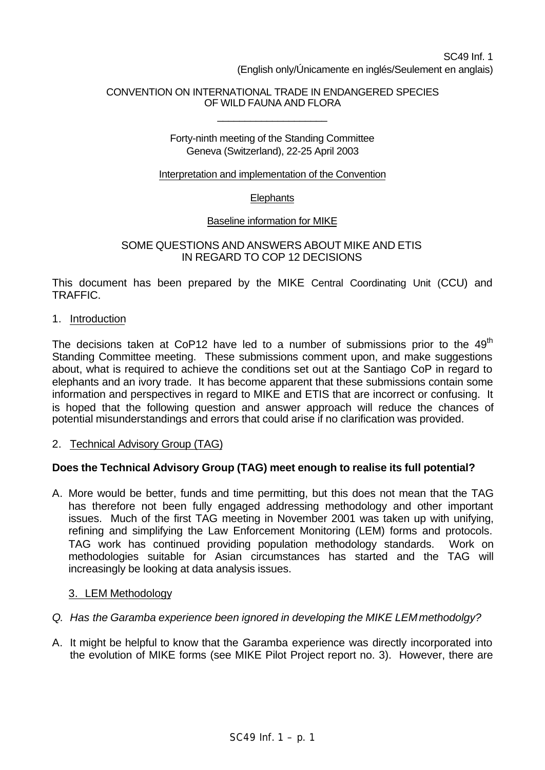## CONVENTION ON INTERNATIONAL TRADE IN ENDANGERED SPECIES OF WILD FAUNA AND FLORA

\_\_\_\_\_\_\_\_\_\_\_\_\_\_\_\_\_\_\_\_

### Forty-ninth meeting of the Standing Committee Geneva (Switzerland), 22-25 April 2003

#### Interpretation and implementation of the Convention

## **Elephants**

## Baseline information for MIKE

#### SOME QUESTIONS AND ANSWERS ABOUT MIKE AND ETIS IN REGARD TO COP 12 DECISIONS

This document has been prepared by the MIKE Central Coordinating Unit (CCU) and TRAFFIC.

1. Introduction

The decisions taken at CoP12 have led to a number of submissions prior to the  $49<sup>th</sup>$ Standing Committee meeting. These submissions comment upon, and make suggestions about, what is required to achieve the conditions set out at the Santiago CoP in regard to elephants and an ivory trade. It has become apparent that these submissions contain some information and perspectives in regard to MIKE and ETIS that are incorrect or confusing. It is hoped that the following question and answer approach will reduce the chances of potential misunderstandings and errors that could arise if no clarification was provided.

2. Technical Advisory Group (TAG)

# **Does the Technical Advisory Group (TAG) meet enough to realise its full potential?**

A. More would be better, funds and time permitting, but this does not mean that the TAG has therefore not been fully engaged addressing methodology and other important issues. Much of the first TAG meeting in November 2001 was taken up with unifying, refining and simplifying the Law Enforcement Monitoring (LEM) forms and protocols. TAG work has continued providing population methodology standards. Work on methodologies suitable for Asian circumstances has started and the TAG will increasingly be looking at data analysis issues.

## 3. LEM Methodology

- *Q. Has the Garamba experience been ignored in developing the MIKE LEM methodolgy?*
- A. It might be helpful to know that the Garamba experience was directly incorporated into the evolution of MIKE forms (see MIKE Pilot Project report no. 3). However, there are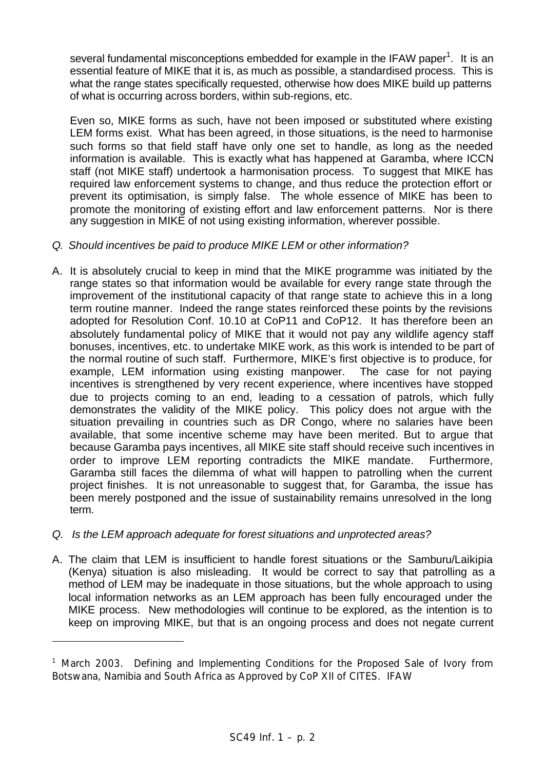several fundamental misconceptions embedded for example in the IFAW paper<sup>1</sup>. It is an essential feature of MIKE that it is, as much as possible, a standardised process. This is what the range states specifically requested, otherwise how does MIKE build up patterns of what is occurring across borders, within sub-regions, etc.

Even so, MIKE forms as such, have not been imposed or substituted where existing LEM forms exist. What has been agreed, in those situations, is the need to harmonise such forms so that field staff have only one set to handle, as long as the needed information is available. This is exactly what has happened at Garamba, where ICCN staff (not MIKE staff) undertook a harmonisation process. To suggest that MIKE has required law enforcement systems to change, and thus reduce the protection effort or prevent its optimisation, is simply false. The whole essence of MIKE has been to promote the monitoring of existing effort and law enforcement patterns. Nor is there any suggestion in MIKE of not using existing information, wherever possible.

# *Q. Should incentives be paid to produce MIKE LEM or other information?*

- A. It is absolutely crucial to keep in mind that the MIKE programme was initiated by the range states so that information would be available for every range state through the improvement of the institutional capacity of that range state to achieve this in a long term routine manner. Indeed the range states reinforced these points by the revisions adopted for Resolution Conf. 10.10 at CoP11 and CoP12. It has therefore been an absolutely fundamental policy of MIKE that it would not pay any wildlife agency staff bonuses, incentives, etc. to undertake MIKE work, as this work is intended to be part of the normal routine of such staff. Furthermore, MIKE's first objective is to produce, for example, LEM information using existing manpower. The case for not paying incentives is strengthened by very recent experience, where incentives have stopped due to projects coming to an end, leading to a cessation of patrols, which fully demonstrates the validity of the MIKE policy. This policy does not argue with the situation prevailing in countries such as DR Congo, where no salaries have been available, that some incentive scheme may have been merited. But to argue that because Garamba pays incentives, all MIKE site staff should receive such incentives in order to improve LEM reporting contradicts the MIKE mandate. Furthermore, Garamba still faces the dilemma of what will happen to patrolling when the current project finishes. It is not unreasonable to suggest that, for Garamba, the issue has been merely postponed and the issue of sustainability remains unresolved in the long term.
- *Q. Is the LEM approach adequate for forest situations and unprotected areas?*

ł

A. The claim that LEM is insufficient to handle forest situations or the Samburu/Laikipia (Kenya) situation is also misleading. It would be correct to say that patrolling as a method of LEM may be inadequate in those situations, but the whole approach to using local information networks as an LEM approach has been fully encouraged under the MIKE process. New methodologies will continue to be explored, as the intention is to keep on improving MIKE, but that is an ongoing process and does not negate current

<sup>&</sup>lt;sup>1</sup> March 2003. Defining and Implementing Conditions for the Proposed Sale of Ivory from Botswana, Namibia and South Africa as Approved by CoP XII of CITES. IFAW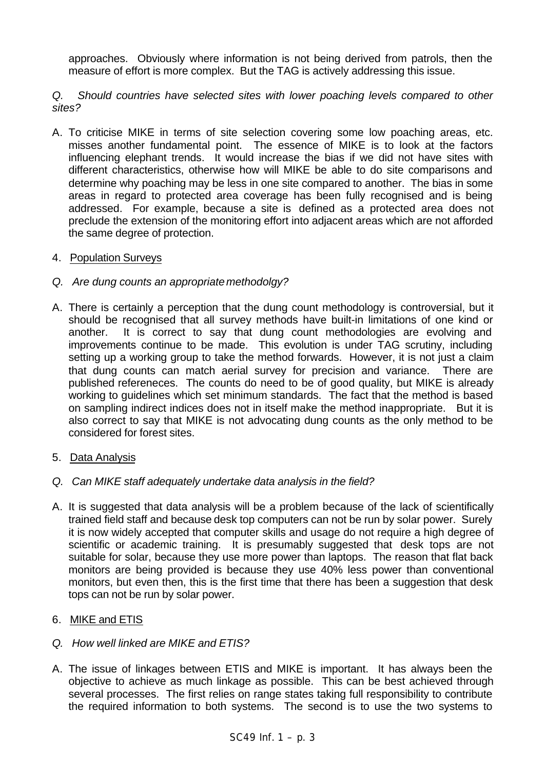approaches. Obviously where information is not being derived from patrols, then the measure of effort is more complex. But the TAG is actively addressing this issue.

*Q. Should countries have selected sites with lower poaching levels compared to other sites?*

- A. To criticise MIKE in terms of site selection covering some low poaching areas, etc. misses another fundamental point. The essence of MIKE is to look at the factors influencing elephant trends. It would increase the bias if we did not have sites with different characteristics, otherwise how will MIKE be able to do site comparisons and determine why poaching may be less in one site compared to another. The bias in some areas in regard to protected area coverage has been fully recognised and is being addressed. For example, because a site is defined as a protected area does not preclude the extension of the monitoring effort into adjacent areas which are not afforded the same degree of protection.
- 4. Population Surveys
- *Q. Are dung counts an appropriate methodolgy?*
- A. There is certainly a perception that the dung count methodology is controversial, but it should be recognised that all survey methods have built-in limitations of one kind or another. It is correct to say that dung count methodologies are evolving and improvements continue to be made. This evolution is under TAG scrutiny, including setting up a working group to take the method forwards. However, it is not just a claim that dung counts can match aerial survey for precision and variance. There are published refereneces. The counts do need to be of good quality, but MIKE is already working to guidelines which set minimum standards. The fact that the method is based on sampling indirect indices does not in itself make the method inappropriate. But it is also correct to say that MIKE is not advocating dung counts as the only method to be considered for forest sites.
- 5. Data Analysis
- *Q. Can MIKE staff adequately undertake data analysis in the field?*
- A. It is suggested that data analysis will be a problem because of the lack of scientifically trained field staff and because desk top computers can not be run by solar power. Surely it is now widely accepted that computer skills and usage do not require a high degree of scientific or academic training. It is presumably suggested that desk tops are not suitable for solar, because they use more power than laptops. The reason that flat back monitors are being provided is because they use 40% less power than conventional monitors, but even then, this is the first time that there has been a suggestion that desk tops can not be run by solar power.
- 6. MIKE and ETIS
- *Q. How well linked are MIKE and ETIS?*
- A. The issue of linkages between ETIS and MIKE is important. It has always been the objective to achieve as much linkage as possible. This can be best achieved through several processes. The first relies on range states taking full responsibility to contribute the required information to both systems. The second is to use the two systems to